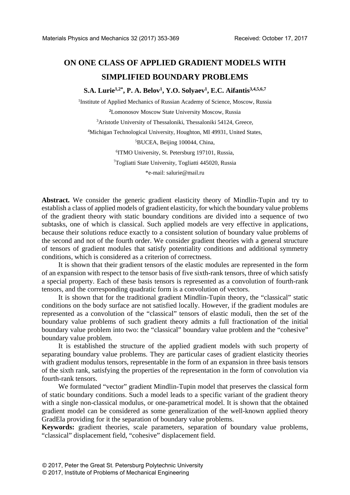# **ON ONE CLASS OF APPLIED GRADIENT MODELS WITH SIMPLIFIED BOUNDARY PROBLEMS**

**S.A. Lurie1,2\* , Р. A. Belov1 , Y.O. Solyaev1 , E.C. Aifantis3,4,5,6,7** 

<sup>1</sup>Institute of Applied Mechanics of Russian Academy of Science, Moscow, Russia

**2** Lomonosov Moscow State University Moscow, Russia

3 Aristotle University of Thessaloniki, Thessaloniki 54124, Greece,

4 Michigan Technological University, Houghton, MI 49931, United States,

5 BUCEA, Beijing 100044, China,

6 ITMO University, St. Petersburg 197101, Russia,

7 Togliatti State University, Togliatti 445020, Russia

\*e-mail: salurie@mail.ru

**Abstract.** We consider the generic gradient elasticity theory of Mindlin-Tupin and try to establish a class of applied models of gradient elasticity, for which the boundary value problems of the gradient theory with static boundary conditions are divided into a sequence of two subtasks, one of which is classical. Such applied models are very effective in applications, because their solutions reduce exactly to a consistent solution of boundary value problems of the second and not of the fourth order. We consider gradient theories with a general structure of tensors of gradient modules that satisfy potentiality conditions and additional symmetry conditions, which is considered as a criterion of correctness.

It is shown that their gradient tensors of the elastic modules are represented in the form of an expansion with respect to the tensor basis of five sixth-rank tensors, three of which satisfy a special property. Each of these basis tensors is represented as a convolution of fourth-rank tensors, and the corresponding quadratic form is a convolution of vectors.

It is shown that for the traditional gradient Mindlin-Tupin theory, the "classical" static conditions on the body surface are not satisfied locally. However, if the gradient modules are represented as a convolution of the "classical" tensors of elastic moduli, then the set of the boundary value problems of such gradient theory admits a full fractionation of the initial boundary value problem into two: the "classical" boundary value problem and the "cohesive" boundary value problem.

It is established the structure of the applied gradient models with such property of separating boundary value problems. They are particular cases of gradient elasticity theories with gradient modulus tensors, representable in the form of an expansion in three basis tensors of the sixth rank, satisfying the properties of the representation in the form of convolution via fourth-rank tensors.

We formulated "vector" gradient Mindlin-Tupin model that preserves the classical form of static boundary conditions. Such a model leads to a specific variant of the gradient theory with a single non-classical modulus, or one-parametrical model. It is shown that the obtained gradient model can be considered as some generalization of the well-known applied theory GradEla providing for it the separation of boundary value problems.

**Keywords:** gradient theories, scale parameters, separation of boundary value problems, "classical" displacement field, "cohesive" displacement field.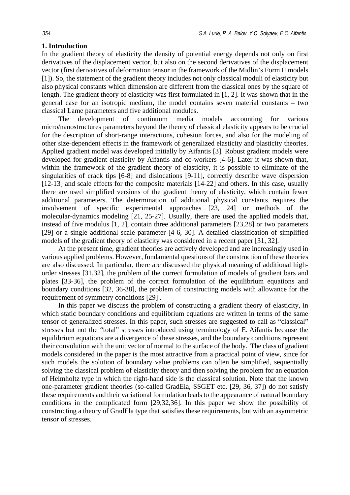## **1. Introduction**

In the gradient theory of elasticity the density of potential energy depends not only on first derivatives of the displacement vector, but also on the second derivatives of the displacement vector (first derivatives of deformation tensor in the framework of the Midlin's Form II models [1]). So, the statement of the gradient theory includes not only classical moduli of elasticity but also physical constants which dimension are different from the classical ones by the square of length. The gradient theory of elasticity was first formulated in [1, 2]. It was shown that in the general case for an isotropic medium, the model contains seven material constants – two classical Lame parameters and five additional modules.

The development of continuum media models accounting for various micro/nanostructures parameters beyond the theory of classical elasticity appears to be crucial for the description of short-range interactions, cohesion forces, and also for the modeling of other size-dependent effects in the framework of generalized elasticity and plasticity theories. Applied gradient model was developed initially by Aifantis [3]. Robust gradient models were developed for gradient elasticity by Aifantis and co-workers [4-6]. Later it was shown that, within the framework of the gradient theory of elasticity, it is possible to eliminate of the singularities of crack tips [6-8] and dislocations [9-11], correctly describe wave dispersion [12-13] and scale effects for the composite materials [14-22] and others. In this case, usually there are used simplified versions of the gradient theory of elasticity, which contain fewer additional parameters. The determination of additional physical constants requires the involvement of specific experimental approaches [23, 24] or methods of the molecular-dynamics modeling [21, 25-27]. Usually, there are used the applied models that, instead of five modulus [1, 2], contain three additional parameters [23,28] or two parameters [29] or a single additional scale parameter [4-6, 30]. A detailed classification of simplified models of the gradient theory of elasticity was considered in a recent paper [31, 32].

At the present time, gradient theories are actively developed and are increasingly used in various applied problems. However, fundamental questions of the construction of these theories are also discussed. In particular, there are discussed the physical meaning of additional highorder stresses [31,32], the problem of the correct formulation of models of gradient bars and plates [33-36], the problem of the correct formulation of the equilibrium equations and boundary conditions [32, 36-38], the problem of constructing models with allowance for the requirement of symmetry conditions [29] .

In this paper we discuss the problem of constructing a gradient theory of elasticity, in which static boundary conditions and equilibrium equations are written in terms of the same tensor of generalized stresses. In this paper, such stresses are suggested to call as "classical" stresses but not the "total" stresses introduced using terminology of E. Aifantis because the equilibrium equations are a divergence of these stresses, and the boundary conditions represent their convolution with the unit vector of normal to the surface of the body. The class of gradient models considered in the paper is the most attractive from a practical point of view, since for such models the solution of boundary value problems can often be simplified, sequentially solving the classical problem of elasticity theory and then solving the problem for an equation of Helmholtz type in which the right-hand side is the classical solution. Note that the known one-parameter gradient theories (so-called GradEla, SSGET etc. [29, 36, 37]) do not satisfy these requirements and their variational formulation leads to the appearance of natural boundary conditions in the complicated form [29,32,36]. In this paper we show the possibility of constructing a theory of GradEla type that satisfies these requirements, but with an asymmetric tensor of stresses.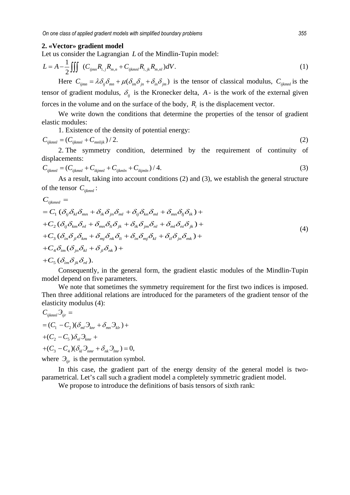#### **2. «Vector» gradient model**

Let us consider the Lagrangian *L* of the Mindlin-Tupin model:

$$
L = A - \frac{1}{2} \iiint (C_{ijmn} R_{i,j} R_{m,n} + C_{ijkmnl} R_{i,jk} R_{m,nl}) dV.
$$
 (1)

Here  $C_{ijmn} = \lambda \delta_{ij} \delta_{mn} + \mu (\delta_{im} \delta_{jn} + \delta_{in} \delta_{jm})$  is the tensor of classical modulus,  $C_{ijkmnl}$  is the tensor of gradient modulus,  $\delta_{ij}$  is the Kronecker delta, *A* - is the work of the external given forces in the volume and on the surface of the body,  $R_i$  is the displacement vector.

We write down the conditions that determine the properties of the tensor of gradient elastic modules:

1. Existence of the density of potential energy:

$$
C_{ijklmnl} = (C_{ijklmnl} + C_{mnlijk})/2.
$$
\n(2)

2. The symmetry condition, determined by the requirement of continuity of displacements:

$$
C_{ijklmnl} = (C_{ijklmnl} + C_{ikjmnl} + C_{ijklm} + C_{ikjmln})/4.
$$
\n(3)

As a result, taking into account conditions (2) and (3), we establish the general structure of the tensor *Cijkmnl* :

$$
C_{ijklmnl} =
$$
\n
$$
= C_1 (\delta_{ij} \delta_{kl} \delta_{mn} + \delta_{ik} \delta_{jn} \delta_{ml} + \delta_{ij} \delta_{kn} \delta_{ml} + \delta_{mn} \delta_{lj} \delta_{ik}) +
$$
\n
$$
+ C_2 (\delta_{ij} \delta_{km} \delta_{nl} + \delta_{mn} \delta_{li} \delta_{jk} + \delta_{ik} \delta_{jm} \delta_{nl} + \delta_{ml} \delta_{ni} \delta_{jk}) +
$$
\n
$$
+ C_3 (\delta_{in} \delta_{jl} \delta_{km} + \delta_{mj} \delta_{nk} \delta_{li} + \delta_{in} \delta_{mj} \delta_{kl} + \delta_{il} \delta_{jn} \delta_{mk}) +
$$
\n
$$
+ C_4 \delta_{im} (\delta_{jn} \delta_{kl} + \delta_{jl} \delta_{nk}) +
$$
\n
$$
+ C_5 (\delta_{im} \delta_{jk} \delta_{nl}).
$$
\n(4)

Consequently, in the general form, the gradient elastic modules of the Mindlin-Tupin model depend on five parameters.

We note that sometimes the symmetry requirement for the first two indices is imposed. Then three additional relations are introduced for the parameters of the gradient tensor of the elasticity modulus (4):

$$
C_{ijkmnl} \mathfrak{I}_{ijr} =
$$
  
=  $(C_1 - C_2)(\delta_{ml} \mathfrak{I}_{knr} + \delta_{mn} \mathfrak{I}_{klr}) +$   
+ $(C_2 - C_5) \delta_{nl} \mathfrak{I}_{knr} +$   
+ $(C_3 - C_4)(\delta_{kl} \mathfrak{I}_{nmr} + \delta_{nk} \mathfrak{I}_{lmr}) = 0,$ 

where  $\mathcal{F}_{\mathit{ijr}}$  is the permutation symbol.

In this case, the gradient part of the energy density of the general model is twoparametrical. Let's call such a gradient model a completely symmetric gradient model.

We propose to introduce the definitions of basis tensors of sixth rank: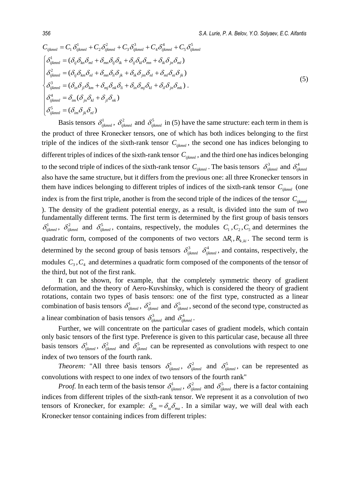$$
C_{ijklmnl} = C_1 \delta_{ijkmnl}^1 + C_2 \delta_{ijkmnl}^2 + C_3 \delta_{ijkmnl}^3 + C_4 \delta_{ijkmnl}^4 + C_5 \delta_{ijkmnl}^5
$$
  
\n
$$
\begin{cases}\n\delta_{ijkmnl}^1 = (\delta_{ij} \delta_{kn} \delta_{ml} + \delta_{mn} \delta_{lj} \delta_{ik} + \delta_{ij} \delta_{kl} \delta_{mn} + \delta_{ik} \delta_{jn} \delta_{ml}) \\
\delta_{ijkmnl}^2 = (\delta_{ij} \delta_{km} \delta_{nl} + \delta_{mn} \delta_{li} \delta_{jk} + \delta_{ik} \delta_{jm} \delta_{nl} + \delta_{ml} \delta_{ni} \delta_{jk}) \\
\delta_{ijkmnl}^3 = (\delta_{in} \delta_{jl} \delta_{km} + \delta_{mj} \delta_{nk} \delta_{li} + \delta_{in} \delta_{mj} \delta_{kl} + \delta_{il} \delta_{jn} \delta_{mk}).\n\end{cases}
$$
\n(5)  
\n
$$
\begin{cases}\n\delta_{ijkmnl}^4 = \delta_{im} (\delta_{jn} \delta_{kl} + \delta_{jl} \delta_{nk}) \\
\delta_{ijkmnl}^5 = (\delta_{im} \delta_{jk} \delta_{nl}) \\
\delta_{ijkmnl}^5 = (\delta_{im} \delta_{jk} \delta_{nl})\n\end{cases}
$$

Basis tensors  $\delta_{ijklmnl}^1$ ,  $\delta_{ijklmnl}^2$  and  $\delta_{ijklmnl}^5$  in (5) have the same structure: each term in them is the product of three Kronecker tensors, one of which has both indices belonging to the first triple of the indices of the sixth-rank tensor *Cijkmnl* , the second one has indices belonging to different triples of indices of the sixth-rank tensor  $C_{ijklmnl}$ , and the third one has indices belonging to the second triple of indices of the sixth-rank tensor  $C_{ijkmnl}$ . The basis tensors  $\delta_{ijkmnl}^3$  and  $\delta_{ijkmnl}^4$ also have the same structure, but it differs from the previous one: all three Kronecker tensors in them have indices belonging to different triples of indices of the sixth-rank tensor  $C_{\text{ikmml}}$  (one index is from the first triple, another is from the second triple of the indices of the tensor *Cijkmnl* ). The density of the gradient potential energy, as a result, is divided into the sum of two fundamentally different terms. The first term is determined by the first group of basis tensors  $\delta_{ijklmnl}^1$ ,  $\delta_{ijklmnl}^2$  and  $\delta_{ijklmnl}^5$ , contains, respectively, the modules  $C_1$ ,  $C_2$ ,  $C_5$  and determines the quadratic form, composed of the components of two vectors  $\Delta R_i$ ,  $R_{k,ki}$ . The second term is determined by the second group of basis tensors  $\delta_{ijkmnl}^3$   $\delta_{ijkmnl}^4$ , and contains, respectively, the modules  $C_3, C_4$  and determines a quadratic form composed of the components of the tensor of the third, but not of the first rank.

It can be shown, for example, that the completely symmetric theory of gradient deformation, and the theory of Aero-Kuvshinsky, which is considered the theory of gradient rotations, contain two types of basis tensors: one of the first type, constructed as a linear combination of basis tensors  $\delta^1_{ijklmnl}$ ,  $\delta^2_{ijklmnl}$  and  $\delta^5_{ijklmnl}$ , second of the second type, constructed as a linear combination of basis tensors  $\delta_{ijkmnl}^3$  and  $\delta_{ijkmnl}^4$ .

Further, we will concentrate on the particular cases of gradient models, which contain only basic tensors of the first type. Preference is given to this particular case, because all three basis tensors  $\delta_{ijkmnl}^1$ ,  $\delta_{ijkmnl}^2$  and  $\delta_{ijkmnl}^5$  can be represented as convolutions with respect to one index of two tensors of the fourth rank.

*Theorem:* "All three basis tensors  $\delta_{ijklmnl}^1$ ,  $\delta_{ijklmnl}^2$  and  $\delta_{ijklmnl}^5$ , can be represented as convolutions with respect to one index of two tensors of the fourth rank"

*Proof.* In each term of the basis tensor  $\delta_{ijklmnl}^1$ ,  $\delta_{ijklmnl}^2$  and  $\delta_{ijklmnl}^5$  there is a factor containing indices from different triples of the sixth-rank tensor. We represent it as a convolution of two tensors of Kronecker, for example:  $\delta_{im} = \delta_{ia} \delta_{ma}$ . In a similar way, we will deal with each Kronecker tensor containing indices from different triples: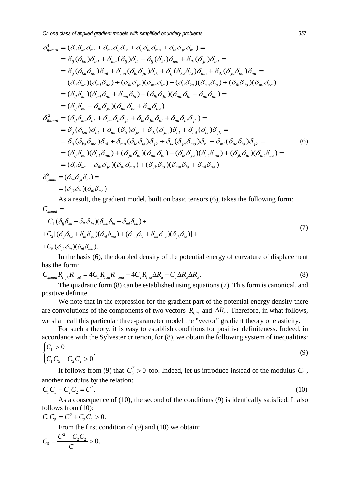*On one class of applied gradient models with simplified boundary problems 357*

$$
\delta_{ijklmnl}^{1} = (\delta_{ij}\delta_{kn}\delta_{ml} + \delta_{mn}\delta_{lj}\delta_{ik} + \delta_{ij}\delta_{kl}\delta_{mn} + \delta_{ik}\delta_{jn}\delta_{ml}) =
$$
\n
$$
= \delta_{ij}(\delta_{kn})\delta_{ml} + \delta_{mn}(\delta_{lj})\delta_{ik} + \delta_{ij}(\delta_{kl})\delta_{mn} + \delta_{ik}(\delta_{jn})\delta_{ml} =
$$
\n
$$
= \delta_{ij}(\delta_{ka}\delta_{na})\delta_{ml} + \delta_{mn}(\delta_{li}\delta_{ja})\delta_{ik} + \delta_{ij}(\delta_{ka}\delta_{ia})\delta_{mn} + \delta_{ik}(\delta_{ja}\delta_{na})\delta_{ml} =
$$
\n
$$
= (\delta_{ij}\delta_{ka})(\delta_{ml}\delta_{na}) + (\delta_{ik}\delta_{ja})(\delta_{mn}\delta_{la}) + (\delta_{ij}\delta_{ka})(\delta_{mn}\delta_{la}) + (\delta_{ik}\delta_{ja})(\delta_{ml}\delta_{na}) =
$$
\n
$$
= (\delta_{ij}\delta_{ka})(\delta_{ml}\delta_{na} + \delta_{mn}\delta_{ia}) + (\delta_{ik}\delta_{ja})(\delta_{mn}\delta_{la} + \delta_{ml}\delta_{na}) =
$$
\n
$$
= (\delta_{ij}\delta_{ka} + \delta_{ik}\delta_{ja})(\delta_{mn}\delta_{ia} + \delta_{ml}\delta_{na})
$$
\n
$$
\delta_{ijkmnl}^{2} = (\delta_{ij}\delta_{kn}\delta_{nl} + \delta_{mn}\delta_{li}\delta_{jk} + \delta_{ik}\delta_{jm}\delta_{nl} + \delta_{ml}\delta_{ni}\delta_{jk}) =
$$
\n
$$
= \delta_{ij}(\delta_{km})\delta_{nl} + \delta_{mn}(\delta_{li})\delta_{jk} + \delta_{ik}(\delta_{jm})\delta_{nl} + \delta_{ml}(\delta_{ni})\delta_{jk} =
$$
\n
$$
= \delta_{ij}(\delta_{ka}\delta_{ma})\delta_{nl} + \delta_{mn}(\delta_{la}\delta_{ia})\delta_{jk} + \delta_{ik}(\delta_{ja}\delta_{ma})\delta_{nl} + \delta_{ml}(\delta_{na}\delta_{ia})\delta_{jk} =
$$
\n
$$
= (\delta_{ij}\delta_{ka})(\delta_{nl}\delta_{ma}) + (\delta_{ik}\delta_{ia})(\delta_{mn}\delta_{la}) + (\delta_{ik}\delta_{ja})(\delta_{nl}\delta_{ma}) + (\delta_{jk}\delta_{ia})(\delta_{
$$

As a result, the gradient model, built on basic tensors (6), takes the following form:

$$
C_{ijklm1} =
$$
  
\n
$$
= C_1 (\delta_{ij}\delta_{ka} + \delta_{ik}\delta_{ja}) (\delta_{mn}\delta_{la} + \delta_{ml}\delta_{na}) +
$$
  
\n
$$
+ C_2 [(\delta_{ij}\delta_{ka} + \delta_{ik}\delta_{ja}) (\delta_{nl}\delta_{ma}) + (\delta_{mn}\delta_{la} + \delta_{ml}\delta_{na}) (\delta_{jk}\delta_{ia})] +
$$
  
\n
$$
+ C_5 (\delta_{jk}\delta_{ia}) (\delta_{nl}\delta_{ma}).
$$
\n(7)

In the basis (6), the doubled density of the potential energy of curvature of displacement has the form:

$$
C_{ijklmnl}R_{i,jk}R_{m,nl} = 4C_1R_{i,ia}R_{m,ma} + 4C_2R_{i,ia}\Delta R_a + C_5\Delta R_a\Delta R_a.
$$
\n(8)

The quadratic form (8) can be established using equations (7). This form is canonical, and positive definite.

We note that in the expression for the gradient part of the potential energy density there are convolutions of the components of two vectors  $\overline{R}_{i,ia}$  and  $\Delta R_a$ . Therefore, in what follows, we shall call this particular three-parameter model the "vector" gradient theory of elasticity.

For such a theory, it is easy to establish conditions for positive definiteness. Indeed, in accordance with the Sylvester criterion, for (8), we obtain the following system of inequalities:

$$
\begin{cases} C_1 > 0 \\ C_1 C_5 - C_2 C_2 > 0 \end{cases}
$$
 (9)

It follows from (9) that  $C_5^T > 0$  too. Indeed, let us introduce instead of the modulus  $C_5$ , another modulus by the relation:

$$
C_1 C_5 - C_2 C_2 = C^2. \tag{10}
$$

As a consequence of (10), the second of the conditions (9) is identically satisfied. It also follows from (10):

 $C_1 C_5 = C^2 + C_2 C_2 > 0.$ 

From the first condition of (9) and (10) we obtain:

$$
C_5 = \frac{C^2 + C_2 C_2}{C_1} > 0.
$$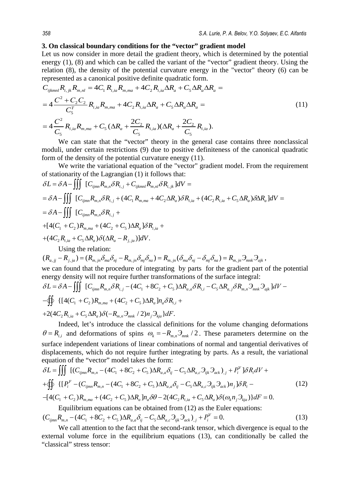## **3. On classical boundary conditions for the "vector" gradient model**

Let us now consider in more detail the gradient theory, which is determined by the potential energy (1), (8) and which can be called the variant of the "vector" gradient theory. Using the relation (8), the density of the potential curvature energy in the "vector" theory (6) can be represented as a canonical positive definite quadratic form.

$$
C_{ijklmnl}R_{i,j,k}R_{m,nl} = 4C_1 R_{i,ia}R_{m,ma} + 4C_2 R_{i,ia} \Delta R_a + C_5 \Delta R_a \Delta R_a =
$$
  
=  $4\frac{C^2 + C_2 C_2}{C_5} R_{i,ia}R_{m,ma} + 4C_2 R_{i,ia} \Delta R_a + C_5 \Delta R_a \Delta R_a =$   
=  $4\frac{C^2}{C_5} R_{i,ia}R_{m,ma} + C_5 (\Delta R_a + \frac{2C_2}{C_5}R_{i,ia}) (\Delta R_a + \frac{2C_2}{C_5}R_{i,ia}).$  (11)

We can state that the "vector" theory in the general case contains three nonclassical moduli, under certain restrictions (9) due to positive definiteness of the canonical quadratic form of the density of the potential curvature energy (11).

We write the variational equation of the "vector" gradient model. From the requirement of stationarity of the Lagrangian (1) it follows that:

$$
\delta L = \delta A - \iiint_{\text{U}_{ijmn}} \left[ C_{ijmn} R_{m,n} \delta R_{i,j} + C_{ijkmnl} R_{m,nl} \delta R_{i,jk} \right] dV =
$$
\n
$$
= \delta A - \iiint_{\text{U}_{ijmn}} \left[ C_{ijmn} R_{m,n} \delta R_{i,j} + (4C_1 R_{m,ma} + 4C_2 \Delta R_a) \delta R_{i,ia} + (4C_2 R_{i,ia} + C_5 \Delta R_a) \delta \Delta R_a \right] dV =
$$
\n
$$
= \delta A - \iiint_{\text{U}_{ijmn}} \left[ C_{ijmn} R_{m,n} \delta R_{i,j} + C_5 \Delta R_a \right] \delta R_{i,ia} +
$$
\n
$$
+ \left[ 4(C_1 + C_2) R_{m,ma} + (4C_2 + C_5) \Delta R_a \right] \delta R_{i,ia} +
$$
\n
$$
+ (4C_2 R_{i,ia} + C_5 \Delta R_a) \delta (\Delta R_a - R_{j,ja}) \right] dV.
$$
\nUsing the relation:  
\n
$$
(R_{a,jj} - R_{j,ja}) = (R_{m,jn} \delta_{ma} \delta_{nj} - R_{m,jn} \delta_{mj} \delta_{na}) = R_{m,jn} (\delta_{ma} \delta_{nj} - \delta_{mj} \delta_{na}) = R_{m,jn} \partial_{mnk} \partial_{ajk},
$$
\nwe can found that the procedure of integrating by parts for the gradient part of the potential energy density will not require further transformations of the surface integral:

$$
\delta L = \delta A - \iiint_{\text{U}} [C_{ijmn} R_{m,n} \delta R_{i,j} - (4C_1 + 8C_2 + C_5) \Delta R_{a,a} \delta R_{i,j} - C_5 \Delta R_{a,j} \delta R_{m,n} \partial_{mnk} \partial_{ajk}]dV -
$$
  
\n
$$
-\oiint_{\text{V}} \{ [4(C_1 + C_2)R_{m,ma} + (4C_2 + C_5) \Delta R_a]n_a \delta R_{i,i} +
$$
  
\n
$$
+2(4C_2 R_{i,ia} + C_5 \Delta R_a) \delta(-R_{m,n} \partial_{mnk} / 2)n_j \partial_{kja} dF.
$$

Indeed, let's introduce the classical definitions for the volume changing deformations  $\theta = R_{i,i}$  and deformations of spins  $\omega_k = -R_{i,j} \partial_{mnk}/2$ . These parameters determine on the surface independent variations of linear combinations of normal and tangential derivatives of displacements, which do not require further integrating by parts. As a result, the variational equation of the "vector" model takes the form:

$$
\delta L = \iiint \left[ (C_{ijmn}R_{m,n} - (4C_1 + 8C_2 + C_5)\Delta R_{a,a}\delta_{ij} - C_5\Delta R_{a,c}\partial_{ijk}\partial_{ack})_{,j} + P_i^V \right] \delta R_i dV +
$$
  
+ 
$$
\oint \left\{ \left[ P_i^F - (C_{ijmn}R_{m,n} - (4C_1 + 8C_2 + C_5)\Delta R_{a,a}\delta_{ij} - C_5\Delta R_{a,c}\partial_{ijk}\partial_{ack}) n_j \right] \delta R_i - \right. \right.
$$
  
- 
$$
\left[ 4(C_1 + C_2)R_{m,ma} + (4C_2 + C_5)\Delta R_a \right] n_a \delta \theta - 2(4C_2 R_{i,ia} + C_5\Delta R_a) \delta (\omega_k n_j \partial_{kj} ) dt = 0.
$$

Equilibrium equations can be obtained from (12) as the Euler equations:  $(C_{ijmn}R_{m,n} - (4C_1 + 8C_2 + C_5)\Delta R_{a,a}\delta_{ij} - C_5\Delta R_{a,c}\partial_{ijk}\partial_{ack})_{,j} + P_i^V = 0.$  (13)

We call attention to the fact that the second-rank tensor, which divergence is equal to the external volume force in the equilibrium equations (13), can conditionally be called the "classical" stress tensor: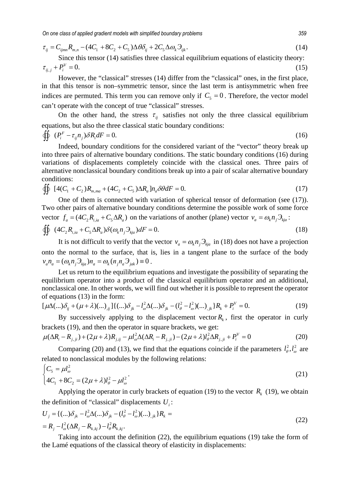$$
\tau_{ij} = C_{ijmn} R_{m,n} - (4C_1 + 8C_2 + C_5) \Delta \theta \delta_{ij} + 2C_5 \Delta \omega_k \partial_{ijk}.
$$
\n(14)

Since this tensor (14) satisfies three classical equilibrium equations of elasticity theory:  $\tau_{ii,j} + P_i^V = 0.$  (15)

However, the "classical" stresses (14) differ from the "classical" ones, in the first place, in that this tensor is non–symmetric tensor, since the last term is antisymmetric when free indices are permuted. This term you can remove only if  $C_5 = 0$ . Therefore, the vector model can't operate with the concept of true "classical" stresses.

On the other hand, the stress  $\tau_{ii}$  satisfies not only the three classical equilibrium equations, but also the three classical static boundary conditions:

$$
\oint \oint (P_i^F - \tau_{ij} n_j) \delta R_i dF = 0. \tag{16}
$$

Indeed, boundary conditions for the considered variant of the "vector" theory break up into three pairs of alternative boundary conditions. The static boundary conditions (16) during variations of displacements completely coincide with the classical ones. Three pairs of alternative nonclassical boundary conditions break up into a pair of scalar alternative boundary conditions:

$$
\oint \int [4(C_1 + C_2)R_{m,ma} + (4C_2 + C_5)\Delta R_a]n_a\delta\theta dF = 0.
$$
\n(17)

One of them is connected with variation of spherical tensor of deformation (see (17)). Two other pairs of alternative boundary conditions determine the possible work of some force vector  $f_a = (4C_2 R_{i/a} + C_5 \Delta R_a)$  on the variations of another (plane) vector  $v_a = \omega_k n_i \partial_{kia}$ :

$$
\oiint (4C_2 R_{i,i} + C_5 \Delta R_a) \delta(\omega_k n_j \partial_{kja}) dF = 0.
$$
\n(18)

It is not difficult to verify that the vector  $v_a = \omega_k n_i \partial_{kia}$  in (18) does not have a projection onto the normal to the surface, that is, lies in a tangent plane to the surface of the body  $v_a n_a = (\omega_k n_i \partial_{kia}) n_a = \omega_k (n_i n_a \partial_{iak}) \equiv 0$ .

Let us return to the equilibrium equations and investigate the possibility of separating the equilibrium operator into a product of the classical equilibrium operator and an additional, nonclassical one. In other words, we will find out whether it is possible to represent the operator of equations (13) in the form:

$$
[\mu\Delta(\ldots)\delta_{ij} + (\mu + \lambda)(\ldots)_{ij}] \{ (\ldots)\delta_{jk} - l_{\omega}^2 \Delta(\ldots)\delta_{jk} - (l_{\theta}^2 - l_{\omega}^2)(\ldots)_{jk} \} R_k + P_i^V = 0.
$$
 (19)

By successively applying to the displacement vector  $R_k$ , first the operator in curly brackets (19), and then the operator in square brackets, we get:

$$
\mu(\Delta R_i - R_{j,ji}) + (2\mu + \lambda)R_{j,ij} - \mu l_{\omega}^2 \Delta(\Delta R_i - R_{j,ji}) - (2\mu + \lambda)l_{\theta}^2 \Delta R_{j,ji} + P_i^V = 0
$$
\n(20)

Comparing (20) and (13), we find that the equations coincide if the parameters  $l_{\theta}^2$ ,  $l_{\theta}^2$  are related to nonclassical modules by the following relations: 2

$$
\begin{cases} C_5 = \mu l_{\omega}^2 \\ 4C_1 + 8C_2 = (2\mu + \lambda)l_{\theta}^2 - \mu l_{\omega}^2 \end{cases}
$$
 (21)

Applying the operator in curly brackets of equation (19) to the vector  $R_k$  (19), we obtain the definition of "classical" displacements  $U_i$ :

$$
U_j = \{ (\dots) \delta_{jk} - l_\omega^2 \Delta(\dots) \delta_{jk} - (l_\theta^2 - l_\omega^2)(\dots)_{jk} \} R_k =
$$
  
=  $R_j - l_\omega^2 (\Delta R_j - R_{k, kj}) - l_\theta^2 R_{k, kj}.$  (22)

Taking into account the definition (22), the equilibrium equations (19) take the form of the Lamé equations of the classical theory of elasticity in displacements: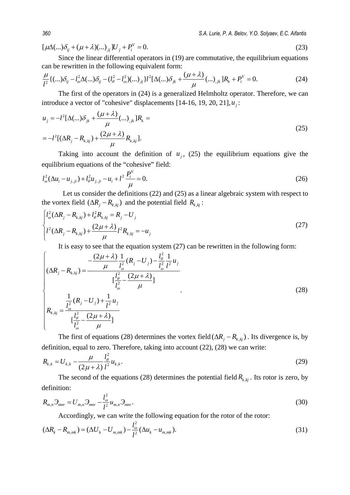$[\mu\Delta(\ldots)\delta_{ij} + (\mu + \lambda)(\ldots)_{ij}]U_j + P_i^V = 0.$  (23)

Since the linear differential operators in (19) are commutative, the equilibrium equations can be rewritten in the following equivalent form:

$$
\frac{\mu}{l^2} \{ (\dots) \delta_{ij} - l_\omega^2 \Delta (\dots) \delta_{ij} - (l_\theta^2 - l_\omega^2)(\dots)_{,ij} \} l^2 [\Delta (\dots) \delta_{jk} + \frac{(\mu + \lambda)}{\mu} (\dots)_{,jk}] R_k + P_i^V = 0.
$$
 (24)

The first of the operators in (24) is a generalized Helmholtz operator. Therefore, we can introduce a vector of "cohesive" displacements  $[14-16, 19, 20, 21]$ ,  $u_i$ :

$$
u_{j} = -l^{2}[\Delta(...)\delta_{jk} + \frac{(\mu + \lambda)}{\mu}(...)_{jk}]R_{k} =
$$
  
= 
$$
-l^{2}[(\Delta R_{j} - R_{k,kj}) + \frac{(2\mu + \lambda)}{\mu}R_{k,kj}].
$$
 (25)

Taking into account the definition of  $u_i$ , (25) the equilibrium equations give the equilibrium equations of the "cohesive" field:

$$
l_{\omega}^{2}(\Delta u_{i} - u_{j,ji}) + l_{\theta}^{2}u_{j,ji} - u_{i} + l^{2}\frac{P_{i}^{V}}{\mu} = 0.
$$
 (26)

Let us consider the definitions (22) and (25) as a linear algebraic system with respect to the vortex field  $(\Delta R_i - R_{k,ki})$  and the potential field  $R_{k,ki}$ :

$$
\begin{cases}\n l_{\omega}^{2}(\Delta R_{j} - R_{k,kj}) + l_{\theta}^{2} R_{k,kj} = R_{j} - U_{j} \\
 l^{2}(\Delta R_{j} - R_{k,kj}) + \frac{(2\mu + \lambda)}{\mu} l^{2} R_{k,kj} = -u_{j}\n\end{cases}
$$
\n(27)

It is easy to see that the equation system  $(27)$  can be rewritten in the following form:

$$
\begin{cases}\n(\Delta R_j - R_{k,kj}) = \frac{-\frac{(2\mu + \lambda)}{\mu} \frac{1}{l_{\omega}^2} (R_j - U_j) - \frac{l_{\theta}^2}{l_{\omega}^2} \frac{1}{l^2} u_j}{[\frac{l_{\theta}^2}{l_{\omega}^2} - \frac{(2\mu + \lambda)}{\mu}]} \\
R_{k,kj} = \frac{\frac{1}{l_{\omega}^2} (R_j - U_j) + \frac{1}{l^2} u_j}{[\frac{l_{\theta}^2}{l_{\omega}^2} - \frac{(2\mu + \lambda)}{\mu}]} \\
\end{cases}
$$
\n(28)

The first of equations (28) determines the vortex field  $(\Delta R_i - R_{k,ki})$ . Its divergence is, by definition, equal to zero. Therefore, taking into account (22), (28) we can write:

$$
R_{k,k} = U_{k,k} - \frac{\mu}{(2\mu + \lambda)} \frac{l_{\theta}^2}{l^2} u_{k,k}.
$$
 (29)

The second of the equations (28) determines the potential field  $R_{k,ki}$ . Its rotor is zero, by definition:

$$
R_{m,n}\mathfrak{I}_{mnr}=U_{m,n}\mathfrak{I}_{mnr}-\frac{l_{\omega}^2}{l^2}u_{m,n}\mathfrak{I}_{mnr}.
$$
\n(30)

Accordingly, we can write the following equation for the rotor of the rotor:

$$
(\Delta R_k - R_{m,mk}) = (\Delta U_k - U_{m,mk}) - \frac{l_o^2}{l^2} (\Delta u_k - u_{m,mk}).
$$
\n(31)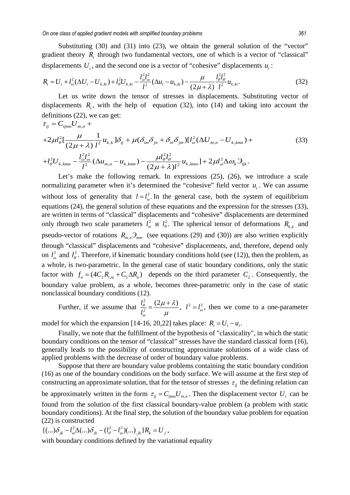Substituting (30) and (31) into (23), we obtain the general solution of the "vector" gradient theory *Ri* through two fundamental vectors, one of which is a vector of "classical" displacements  $U_i$ , and the second one is a vector of "cohesive" displacements  $u_i$ :

$$
R_{i} = U_{i} + l_{\omega}^{2} (\Delta U_{i} - U_{k,ki}) + l_{\theta}^{2} U_{k,ki} - \frac{l_{\omega}^{2} l_{\omega}^{2}}{l^{2}} (\Delta u_{i} - u_{k,ki}) - \frac{\mu}{(2\mu + \lambda)} \frac{l_{\theta}^{2} l_{\theta}^{2}}{l^{2}} u_{k,ki}.
$$
 (32)

Let us write down the tensor of stresses in displacements. Substituting vector of displacements  $R_i$ , with the help of equation (32), into (14) and taking into account the definitions (22), we can get:

$$
\tau_{ij} = C_{ijmn} U_{m,n} +
$$
  
+2 $\mu l_{\theta}^{2} \left[ \frac{\mu}{(2\mu + \lambda)} \frac{1}{l^{2}} u_{k,k} \right] \delta_{ij} + \mu (\delta_{im} \delta_{jn} + \delta_{in} \delta_{jm}) \left[ l_{\omega}^{2} (\Delta U_{m,n} - U_{k,kmn}) +$   
+ $l_{\theta}^{2} U_{k,kmn} - \frac{l_{\omega}^{2} l_{\omega}^{2}}{l^{2}} (\Delta u_{m,n} - u_{k,kmn}) - \frac{\mu l_{\theta}^{2} l_{\theta}^{2}}{(2\mu + \lambda) l^{2}} u_{k,kmn} \right] + 2\mu l_{\omega}^{2} \Delta \omega_{k} \partial_{ijk}.$  (33)

Let's make the following remark. In expressions  $(25)$ ,  $(26)$ , we introduce a scale normalizing parameter when it's determined the "cohesive" field vector  $u_i$ . We can assume without loss of generality that  $l = l_{\omega}^2$ . In the general case, both the system of equilibrium equations (24), the general solution of these equations and the expression for the stresses (33), are written in terms of "classical" displacements and "cohesive" displacements are determined only through two scale parameters  $l_{\omega}^2$  u  $l_{\theta}^2$ . The spherical tensor of deformations  $R_{k,k}$  and pseudo-vector of rotations  $R_{m,n} \mathcal{F}_{mnn}$  (see equations (29) and (30)) are also written explicitly through "classical" displacements and "cohesive" displacements, and, therefore, depend only on  $l_{\varphi}^2$  and  $l_{\theta}^2$ . Therefore, if kinematic boundary conditions hold (see (12)), then the problem, as a whole, is two-parametric. In the general case of static boundary conditions, only the static factor with  $f_a = (4 C_2 R_{i, ia} + C_5 \Delta R_a)$  depends on the third parameter  $C_2$ . Consequently, the boundary value problem, as a whole, becomes three-parametric only in the case of static nonclassical boundary conditions (12).

Further, if we assume that  $\int_{\theta}^{2} (2\mu + \lambda)$   $1^{2} - 1^{2}$  $\frac{l_{\theta}^{2}}{l^{2}} = \frac{(2\mu + \lambda)}{l}$ ,  $l^{2} = l$ *l*  $\frac{\theta}{a^2} = \frac{(\frac{2\mu}{\mu} + \frac{\mu}{\mu})}{\sigma}$ ,  $l^2 = l^2_{\omega}$ ω  $\mu + \lambda$  $\mu$  $=\frac{(2\mu+\lambda)}{\lambda}$ ,  $l^2 = l_o^2$ , then we come to a one-parameter

model for which the expansion [14-16, 20,22] takes place:  $R_i = U_i - u_i$ .

Finally, we note that the fulfillment of the hypothesis of "classicality", in which the static boundary conditions on the tensor of "classical" stresses have the standard classical form (16), generally leads to the possibility of constructing approximate solutions of a wide class of applied problems with the decrease of order of boundary value problems.

Suppose that there are boundary value problems containing the static boundary condition (16) as one of the boundary conditions on the body surface. We will assume at the first step of constructing an approximate solution, that for the tensor of stresses  $\tau_{ij}$  the defining relation can be approximately written in the form  $\tau_{ij} = C_{ijmn} U_{m,n}$ . Then the displacement vector  $U_i$  can be found from the solution of the first classical boundary-value problem (a problem with static boundary conditions). At the final step, the solution of the boundary value problem for equation (22) is constructed

 ${1 \choose (...){\delta_{jk}} - l_{\omega}^2 \Delta(...){\delta_{jk}} - (l_{\theta}^2 - l_{\omega}^2)(...),_{jk}} R_k = U_j,$ 

with boundary conditions defined by the variational equality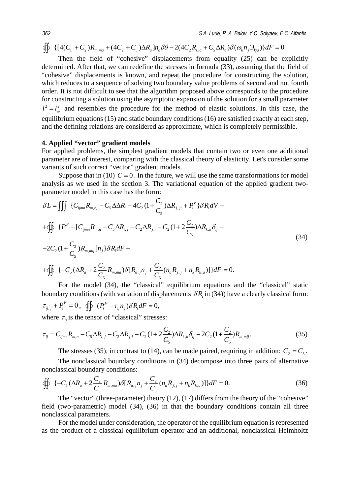$\oiint \{ [4(C_1 + C_2)R_{m,ma} + (4C_2 + C_5)\Delta R_a]n_a\delta\theta - 2(4C_2R_{i,ia} + C_5\Delta R_a)\delta(\omega_k n_j \partial_{kja})\}dF = 0$ 

Then the field of "cohesive" displacements from equality (25) can be explicitly determined. After that, we can redefine the stresses in formula (33), assuming that the field of "cohesive" displacements is known, and repeat the procedure for constructing the solution, which reduces to a sequence of solving two boundary value problems of second and not fourth order. It is not difficult to see that the algorithm proposed above corresponds to the procedure for constructing a solution using the asymptotic expansion of the solution for a small parameter  $l^2 = l_{\omega}^2$  and resembles the procedure for the method of elastic solutions. In this case, the equilibrium equations (15) and static boundary conditions (16) are satisfied exactly at each step, and the defining relations are considered as approximate, which is completely permissible.

## **4. Applied "vector" gradient models**

For applied problems, the simplest gradient models that contain two or even one additional parameter are of interest, comparing with the classical theory of elasticity. Let's consider some variants of such correct "vector" gradient models.

Suppose that in (10)  $C = 0$ . In the future, we will use the same transformations for model analysis as we used in the section 3. The variational equation of the applied gradient twoparameter model in this case has the form:

$$
\delta L = \iiint \{C_{ijmn}R_{m,nj} - C_5\Delta\Delta R_i - 4C_2(1 + \frac{C_2}{C_5})\Delta R_{j,j} + P_i^V\}\delta R_i dV +
$$
  
+ 
$$
\oiint \{P_i^F - [C_{ijmn}R_{m,n} - C_5\Delta R_{i,j} - C_2\Delta R_{j,i} - C_2(1 + 2\frac{C_2}{C_5})\Delta R_{k,k}\delta_{ij} -
$$
  
-2C<sub>2</sub>(1 +  $\frac{C_2}{C_5}$ )R<sub>m,mij</sub>]n<sub>j</sub>\delta R\_i dF +  
+ 
$$
\oiint \{-C_5(\Delta R_a + 2\frac{C_2}{C_5}R_{m,ma})\delta[R_{a,j}n_j + \frac{C_2}{C_5}(n_aR_{j,j} + n_kR_{k,a})]\}dF = 0.
$$

For the model (34), the "classical" equilibrium equations and the "classical" static boundary conditions (with variation of displacements  $\delta R_i$  in (34)) have a clearly classical form:

 $\tau_{ij,j} + P_i^V = 0$ ,  $\oiint_C (P_i^F - \tau_{ij} n_j) \delta R_i dF = 0$ , where  $\tau_{ij}$  is the tensor of "classical" stresses:

$$
\tau_{ij} = C_{ijmn} R_{m,n} - C_5 \Delta R_{i,j} - C_2 \Delta R_{j,i} - C_2 (1 + 2 \frac{C_2}{C_5}) \Delta R_{k,k} \delta_{ij} - 2C_2 (1 + \frac{C_2}{C_5}) R_{m,mij}.
$$
\n(35)

The stresses (35), in contrast to (14), can be made paired, requiring in addition:  $C_2 = C_5$ .

The nonclassical boundary conditions in (34) decompose into three pairs of alternative nonclassical boundary conditions:

$$
\oiint_{\mathcal{C}} \{-C_{5} (\Delta R_{a} + 2 \frac{C_{2}}{C_{5}} R_{m,ma}) \delta[R_{a,j}n_{j} + \frac{C_{2}}{C_{5}} (n_{a}R_{j,j} + n_{k}R_{k,a})]\}dF = 0.
$$
\n(36)

The "vector" (three-parameter) theory (12), (17) differs from the theory of the "cohesive" field (two-parametric) model (34), (36) in that the boundary conditions contain all three nonclassical parameters.

For the model under consideration, the operator of the equilibrium equation is represented as the product of a classical equilibrium operator and an additional, nonclassical Helmholtz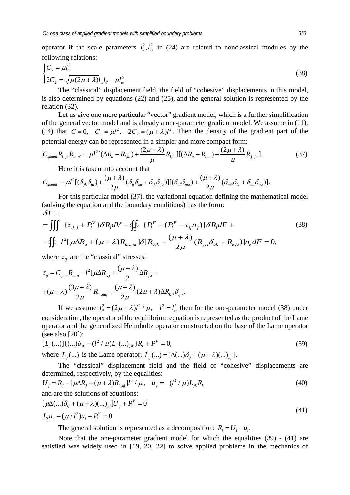operator if the scale parameters  $l_{\theta}^2$ ,  $l_{\theta}^2$  in (24) are related to nonclassical modules by the following relations:

$$
\begin{cases}\nC_5 = \mu l_\omega^2 \\
2C_2 = \sqrt{\mu (2\mu + \lambda)} l_\omega l_\theta - \mu l_\omega^2\n\end{cases} (38)
$$

The "classical" displacement field, the field of "cohesive" displacements in this model, is also determined by equations (22) and (25), and the general solution is represented by the relation (32).

Let us give one more particular "vector" gradient model, which is a further simplification of the general vector model and is already a one-parameter gradient model. We assume in (11), (14) that  $C = 0$ ,  $C_5 = \mu l^2$ ,  $2C_2 = (\mu + \lambda)l^2$ . Then the density of the gradient part of the potential energy can be represented in a simpler and more compact form:

$$
C_{ijklmnl}R_{i,jk}R_{m,nl} = \mu l^{2} [(\Delta R_{a} - R_{i,ia}) + \frac{(2\mu + \lambda)}{\mu} R_{i,ia}] [(\Delta R_{a} - R_{i,ia}) + \frac{(2\mu + \lambda)}{\mu} R_{j,ia}].
$$
 (37)

Here it is taken into account that

$$
C_{ijklmnl} = \mu l^2 [(\delta_{jk}\delta_{ia}) + \frac{(\mu + \lambda)}{2\mu} (\delta_{ij}\delta_{ka} + \delta_{ik}\delta_{ja})] [(\delta_{nl}\delta_{ma}) + \frac{(\mu + \lambda)}{2\mu} (\delta_{mn}\delta_{la} + \delta_{ml}\delta_{na})].
$$

For this particular model (37), the variational equation defining the mathematical model (solving the equation and the boundary conditions) has the form:  $\delta L =$ 

$$
= \iiint \{ \tau_{ij,j} + P_i^V \} \delta R_i dV + \oiint \{ P_i^F - (P_i^F - \tau_{ij} n_j) \} \delta R_i dF +
$$
\n
$$
- \oiint l^2 [\mu \Delta R_a + (\mu + \lambda) R_{m,ma}] \delta [R_{a,k} + \frac{(\mu + \lambda)}{2\mu} (R_{j,j} \delta_{ak} + R_{k,a})] n_k dF = 0,
$$
\n(38)

where  $\tau_{ij}$  are the "classical" stresses:

$$
\tau_{ij} = C_{ijmn} R_{m,n} - l^2 [\mu \Delta R_{i,j} + \frac{(\mu + \lambda)}{2} \Delta R_{j,i} +
$$
  
+ 
$$
(\mu + \lambda) \frac{(3\mu + \lambda)}{2\mu} R_{m,mij} + \frac{(\mu + \lambda)}{2\mu} (2\mu + \lambda) \Delta R_{k,k} \delta_{ij}].
$$

If we assume  $l_{\theta}^2 = (2\mu + \lambda)l^2 / \mu$ ,  $l^2 = l_{\omega}^2$  then for the one-parameter model (38) under consideration, the operator of the equilibrium equation is represented as the product of the Lame operator and the generalized Helmholtz operator constructed on the base of the Lame operator (see also [20]):

$$
[L_{ij}(...)]\{(...)\delta_{jk}-(l^2/\mu)L_{ij}(...)_{jk}\}R_k+P_i^V=0,
$$
\n(39)

where  $L_{ii}$  (...) is the Lame operator,  $L_{ii}$  (...) =  $[\Delta(\ldots)\delta_{ii} + (\mu + \lambda)(\ldots)_{ii}]$ .

The "classical" displacement field and the field of "cohesive" displacements are determined, respectively, by the equalities:

$$
U_j = R_j - \left[\mu \Delta R_j + (\mu + \lambda)R_{k,kj}\right]l^2 / \mu, \quad u_j = -(l^2 / \mu)L_{jk}R_k
$$
\n(40)

\nand are the solutions of equations:

$$
[\mu\Delta(\ldots)\delta_{ij} + (\mu + \lambda)(\ldots)_{ij}]U_j + P_i^V = 0
$$
  
\n
$$
L_{ij}u_j - (\mu/l^2)u_i + P_i^V = 0
$$
\n(41)

The general solution is represented as a decomposition:  $R_i = U_i - u_i$ .

Note that the one-parameter gradient model for which the equalities (39) - (41) are satisfied was widely used in [19, 20, 22] to solve applied problems in the mechanics of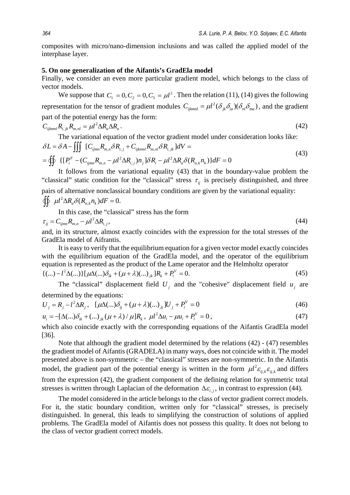composites with micro/nano-dimension inclusions and was called the applied model of the interphase layer.

## **5. On one generalization of the Aifantis's GradEla model**

Finally, we consider an even more particular gradient model, which belongs to the class of vector models.

We suppose that  $C_1 = 0, C_2 = 0, C_5 = \mu l^2$ . Then the relation (11), (14) gives the following representation for the tensor of gradient modules  $C_{ijkml} = \mu l^2 (\delta_{jk} \delta_{ia}) (\delta_{nl} \delta_{ma})$ , and the gradient part of the potential energy has the form:

$$
C_{ijklmnl}R_{i,jk}R_{m,nl} = \mu l^2 \Delta R_a \Delta R_a.
$$
\n(42)

The variational equation of the vector gradient model under consideration looks like:  
\n
$$
\delta L = \delta A - \iiint \left[ C_{ijmn} R_{m,n} \delta R_{i,j} + C_{ijkmnl} R_{m,nl} \delta R_{i,jk} \right] dV =
$$
\n
$$
= \oiint \left\{ \left[ P_i^F - (C_{ijmn} R_{m,n} - \mu l^2 \Delta R_{i,j}) n_j \right] \delta R_i - \mu l^2 \Delta R_a \delta (R_{a,k} n_k) \right\} dF = 0
$$
\n(43)

It follows from the variational equality (43) that in the boundary-value problem the "classical" static condition for the "classical" stress  $\tau_{ij}$  is precisely distinguished, and three pairs of alternative nonclassical boundary conditions are given by the variational equality:

$$
\oint \int \mu l^2 \Delta R_a \delta(R_{a,k} n_k) dF = 0.
$$

In this case, the "classical" stress has the form

$$
\tau_{ij} = C_{ijmn} R_{m,n} - \mu l^2 \Delta R_{i,j},\tag{44}
$$

and, in its structure, almost exactly coincides with the expression for the total stresses of the GradEla model of Aifrantis.

It is easy to verify that the equilibrium equation for a given vector model exactly coincides with the equilibrium equation of the GradEla model, and the operator of the equilibrium equation is represented as the product of the Lame operator and the Helmholtz operator  ${((...)-l^2\Delta(...)][\mu\Delta(...)\delta_{ik} + (\mu+\lambda)(...)\delta_{ik}R_k + P_i^V = 0.}$  (45)

The "classical" displacement field  $U_i$  and the "cohesive" displacement field  $u_i$  are determined by the equations:

$$
U_j = R_j - l^2 \Delta R_j, \quad [\mu \Delta (\dots) \delta_{ij} + (\mu + \lambda) (\dots)_{,ij}] U_j + P_i^V = 0 \tag{46}
$$

$$
u_i = -[\Delta(...)\delta_{ik} + (...)_{,ik}(\mu + \lambda) / \mu]R_k, \ \mu l^2 \Delta u_i - \mu u_i + P_i^V = 0,
$$
\n(47)

which also coincide exactly with the corresponding equations of the Aifantis GradEla model [36].

Note that although the gradient model determined by the relations (42) - (47) resembles the gradient model of Aifantis (GRADELA) in many ways, does not coincide with it. The model presented above is non-symmetric – the "classical" stresses are non-symmetric. In the Aifantis model, the gradient part of the potential energy is written in the form  $\mu l^2 \varepsilon_{ij,k} \varepsilon_{ij,k}$  and differs from the expression (42), the gradient component of the defining relation for symmetric total stresses is written through Laplacian of the deformation  $\Delta \varepsilon_{i,j}$ , in contrast to expression (44).

The model considered in the article belongs to the class of vector gradient correct models. For it, the static boundary condition, written only for "classical" stresses, is precisely distinguished. In general, this leads to simplifying the construction of solutions of applied problems. The GradEla model of Aifantis does not possess this quality. It does not belong to the class of vector gradient correct models.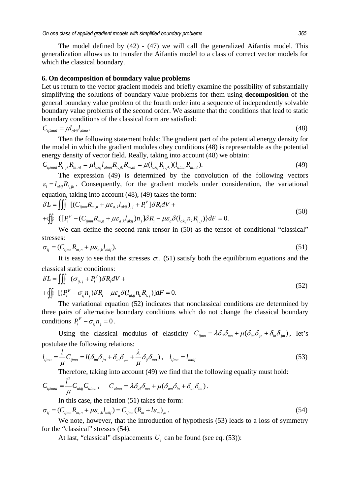The model defined by (42) - (47) we will call the generalized Aifantis model. This generalization allows us to transfer the Aifantis model to a class of correct vector models for which the classical boundary.

#### **6. On decomposition of boundary value problems**

Let us return to the vector gradient models and briefly examine the possibility of substantially simplifying the solutions of boundary value problems for them using **decomposition** of the general boundary value problem of the fourth order into a sequence of independently solvable boundary value problems of the second order. We assume that the conditions that lead to static boundary conditions of the classical form are satisfied:

$$
C_{ijklmnl} = \mu l_{akij} l_{almn}.\tag{48}
$$

Then the following statement holds: The gradient part of the potential energy density for the model in which the gradient modules obey conditions (48) is representable as the potential energy density of vector field. Really, taking into account (48) we obtain:

$$
C_{ijklmnl}R_{i,jk}R_{m,nl} = \mu l_{akij}l_{almn}R_{i,jk}R_{m,nl} = \mu (l_{akij}R_{i,jk}) (l_{almn}R_{m,nl}).
$$
\n(49)

The expression (49) is determined by the convolution of the following vectors  $\epsilon_i = l_{\text{min}} R_{i,k}$ . Consequently, for the gradient models under consideration, the variational equation, taking into account (48), (49) takes the form:

$$
\delta L = \iiint \left[ (C_{ijmn}R_{m,n} + \mu \varepsilon_{a,k} l_{akij})_{,j} + P_i^V \right] \delta R_i dV +
$$
  
+ 
$$
\oint \left\{ \left[ P_i^F - (C_{ijmn}R_{m,n} + \mu \varepsilon_{a,k} l_{akij}) n_j \right] \delta R_i - \mu \varepsilon_a \delta (l_{akij} n_k R_{i,j}) \right\} dF = 0.
$$
 (50)

We can define the second rank tensor in  $(50)$  as the tensor of conditional "classical" stresses:

$$
\sigma_{ij} = (C_{ijmn}R_{m,n} + \mu \varepsilon_{a,k} l_{akij}).
$$
\n(51)

It is easy to see that the stresses  $\sigma_{ij}$  (51) satisfy both the equilibrium equations and the classical static conditions:

$$
\delta L = \iiint (\sigma_{ij,j} + P_i^V) \delta R_i dV +
$$
  
+ 
$$
\oint \left[ (P_i^F - \sigma_{ij} n_j) \delta R_i - \mu \varepsilon_a \delta(l_{akij} n_k R_{i,j}) \right] dF = 0.
$$
 (52)

The variational equation (52) indicates that nonclassical conditions are determined by three pairs of alternative boundary conditions which do not change the classical boundary conditions  $P_i^F - \sigma_{ii} n_i = 0$ .

Using the classical modulus of elasticity  $C_{\text{imm}} = \lambda \delta_{ij} \delta_{mn} + \mu (\delta_{im} \delta_{in} + \delta_{in} \delta_{im})$ , let's postulate the following relations:

$$
l_{ijmn} = \frac{l}{\mu} C_{ijmn} = l(\delta_{im}\delta_{jn} + \delta_{in}\delta_{jm} + \frac{\lambda}{\mu}\delta_{ij}\delta_{mn}), \quad l_{ijmn} = l_{mnij}
$$
(53)

Therefore, taking into account (49) we find that the following equality must hold:

$$
C_{ijklmnl} = \frac{l^2}{\mu} C_{akij} C_{almn}, \qquad C_{almn} = \lambda \delta_{al} \delta_{mn} + \mu (\delta_{am} \delta_{ln} + \delta_{an} \delta_{lm}).
$$

In this case, the relation (51) takes the form:

$$
\sigma_{ij} = (C_{ijmn}R_{m,n} + \mu \varepsilon_{a,k}l_{akij}) = C_{ijmn}(R_m + l\varepsilon_m)_{,n}.
$$
\n(54)

We note, however, that the introduction of hypothesis (53) leads to a loss of symmetry for the "classical" stresses (54).

At last, "classical" displacements  $U_i$  can be found (see eq. (53)):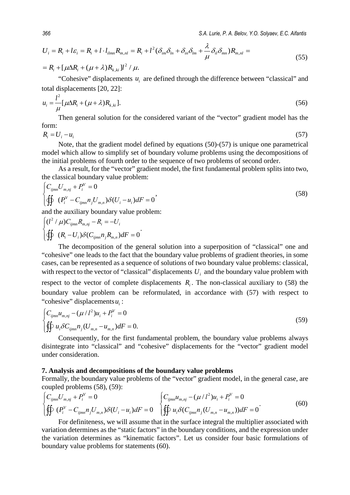$$
U_i = R_i + l\varepsilon_i = R_i + l \cdot l_{ilmn}R_{m,nl} = R_i + l^2(\delta_{im}\delta_{ln} + \delta_{in}\delta_{lm} + \frac{\lambda}{\mu}\delta_{il}\delta_{mn})R_{m,nl} =
$$
  
= R\_i + [\mu\Delta R\_i + (\mu + \lambda)R\_{k,ki}]l^2 / \mu. (55)

"Cohesive" displacements  $u_i$  are defined through the difference between "classical" and total displacements [20, 22]:

$$
u_i = \frac{l^2}{\mu} [\mu \Delta R_i + (\mu + \lambda) R_{k,ki}].
$$
 (56)

Then general solution for the considered variant of the "vector" gradient model has the form:

$$
R_i = U_i - u_i \tag{57}
$$

Note, that the gradient model defined by equations (50)-(57) is unique one parametrical model which allow to simplify set of boundary volume problems using the decompositions of the initial problems of fourth order to the sequence of two problems of second order.

As a result, for the "vector" gradient model, the first fundamental problem splits into two, the classical boundary value problem:

$$
\begin{cases}\nC_{ijmn}U_{m,nj} + P_i^V = 0 \\
\oiint \left(P_i^V - C_{ijmn}n_j U_{m,n}\right)\delta(U_i - u_i) dF = 0\n\end{cases}
$$
\n(58)

and the auxiliary boundary value problem:

$$
\begin{cases}\n(l^2 / \mu)C_{ijmn}R_{m,nj} - R_i = -U_i \\
\oiint (R_i - U_i)\delta(C_{ijmn}n_jR_{m,n})dF = 0\n\end{cases}
$$

The decomposition of the general solution into a superposition of "classical" one and "cohesive" one leads to the fact that the boundary value problems of gradient theories, in some cases, can be represented as a sequence of solutions of two boundary value problems: classical, with respect to the vector of "classical" displacements  $U_i$  and the boundary value problem with respect to the vector of complete displacements  $R<sub>i</sub>$ . The non-classical auxiliary to (58) the boundary value problem can be reformulated, in accordance with (57) with respect to "cohesive" displacements *u*<sub>i</sub>:

$$
\begin{cases}\nC_{ijmn}u_{m,nj} - (\mu/l^2)u_i + P_i^V = 0 \\
\oiint u_i \delta C_{ijmn} n_j (U_{m,n} - u_{m,n}) dF = 0.\n\end{cases}
$$
\n(59)

Consequently, for the first fundamental problem, the boundary value problems always disintegrate into "classical" and "cohesive" displacements for the "vector" gradient model under consideration.

## **7. Analysis and decompositions of the boundary value problems**

Formally, the boundary value problems of the "vector" gradient model, in the general case, are coupled problems (58), (59):

$$
\begin{cases}\nC_{ijmn}U_{m,nj} + P_i^V = 0 & \n\int C_{ijmn}u_{m,nj} - (\mu/l^2)u_i + P_i^V = 0 \\
\oiint (P_i^V - C_{ijmn}n_jU_{m,n})\delta(U_i - u_i)dF = 0 & \n\oiint u_i\delta(C_{ijmn}n_j(U_{m,n} - u_{m,n}))dF = 0\n\end{cases}
$$
\n(60)

For definiteness, we will assume that in the surface integral the multiplier associated with variation determines as the "static factors" in the boundary conditions, and the expression under the variation determines as "kinematic factors". Let us consider four basic formulations of boundary value problems for statements (60).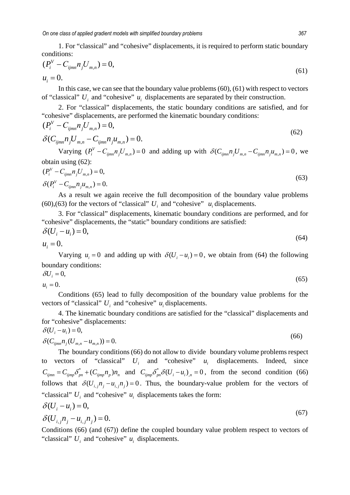1. For "classical" and "cohesive" displacements, it is required to perform static boundary conditions:

$$
(P_i^V - C_{ijmn} n_j U_{m,n}) = 0,
$$
  
\n
$$
u_i = 0.
$$
\n(61)

In this case, we can see that the boundary value problems (60), (61) with respect to vectors of "classical"  $U_i$  and "cohesive"  $u_i$  displacements are separated by their construction.

2. For "classical" displacements, the static boundary conditions are satisfied, and for "cohesive" displacements, are performed the kinematic boundary conditions:

$$
(P_i^V - C_{ijmn} n_j U_{m,n}) = 0,
$$
  
\n
$$
\delta(C_{ijmn} n_j U_{m,n} - C_{ijmn} n_j u_{m,n}) = 0.
$$
\n(62)

Varying  $(P_i^V - C_{ijmn} n_i U_{m,n}) = 0$  and adding up with  $\delta(C_{ijmn} n_j U_{m,n} - C_{ijmn} n_j u_{m,n}) = 0$ , we obtain using (62):

$$
(P_i^V - C_{ijmn} n_j U_{m,n}) = 0,
$$
  
\n
$$
\delta (P_i^V - C_{ijmn} n_j u_{m,n}) = 0.
$$
\n(63)

As a result we again receive the full decomposition of the boundary value problems (60),(63) for the vectors of "classical"  $U_i$  and "cohesive"  $u_i$  displacements.

3. For "classical" displacements, kinematic boundary conditions are performed, and for "cohesive" displacements, the "static" boundary conditions are satisfied:

$$
\delta(U_i - u_i) = 0,
$$
  
\n
$$
u_i = 0.
$$
\n(64)

$$
u_i=0.
$$

Varying  $u_i = 0$  and adding up with  $\delta(U_i - u_i) = 0$ , we obtain from (64) the following boundary conditions:

$$
\delta U_i = 0,
$$
  
\n
$$
u_i = 0.
$$
\n(65)

Conditions (65) lead to fully decomposition of the boundary value problems for the vectors of "classical"  $U_i$  and "cohesive"  $u_i$  displacements.

4. The kinematic boundary conditions are satisfied for the "classical" displacements and for "cohesive" displacements:

$$
\delta(U_i - u_i) = 0,
$$
  
\n
$$
\delta(C_{ijmn} n_j (U_{m,n} - u_{m,n})) = 0.
$$
\n(66)

The boundary conditions (66) do not allow to divide boundary volume problems respect to vectors of "classical"  $U_i$  and "cohesive"  $u_i$  displacements. Indeed, since  $C_{ijmn} = C_{ijmp} \delta_{pn}^* + (C_{ijmp} n_p) n_n$  and  $C_{ijmp} \delta_{pn}^* \delta (U_i - u_i)_n = 0$ , from the second condition (66) follows that  $\delta(U_{i,j}n_i - u_{i,j}n_j) = 0$ . Thus, the boundary-value problem for the vectors of "classical"  $U_i$  and "cohesive"  $u_i$  displacements takes the form:

$$
\delta(U_i - u_i) = 0,\tag{67}
$$

$$
\delta(U_{i,j}n_j - u_{i,j}n_j) = 0.
$$
\n(67)

Conditions (66) (and (67)) define the coupled boundary value problem respect to vectors of "classical"  $U_i$  and "cohesive"  $u_i$  displacements.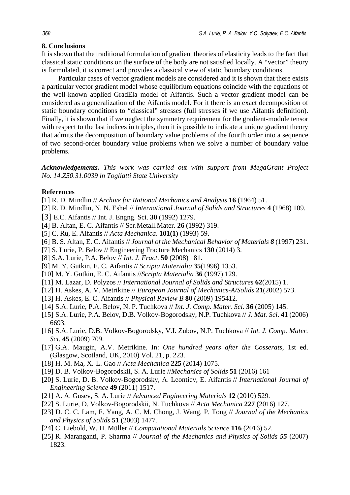## **8. Conclusions**

It is shown that the traditional formulation of gradient theories of elasticity leads to the fact that classical static conditions on the surface of the body are not satisfied locally. A "vector" theory is formulated, it is correct and provides a classical view of static boundary conditions.

Particular cases of vector gradient models are considered and it is shown that there exists a particular vector gradient model whose equilibrium equations coincide with the equations of the well-known applied GradEla model of Aifantis. Such a vector gradient model can be considered as a generalization of the Aifantis model. For it there is an exact decomposition of static boundary conditions to "classical" stresses (full stresses if we use Aifantis definition). Finally, it is shown that if we neglect the symmetry requirement for the gradient-module tensor with respect to the last indices in triples, then it is possible to indicate a unique gradient theory that admits the decomposition of boundary value problems of the fourth order into a sequence of two second-order boundary value problems when we solve a number of boundary value problems.

*Acknowledgements. This work was carried out with support from MegaGrant Project No. 14.Z50.31.0039 in Togliatti State University* 

## **References**

- [1] R. D. Mindlin // *Archive for Rational Mechanics and Analysis* **16** (1964) 51.
- [2] R. D. Mindlin, N. N. Eshel // *International Journal of Solids and Structures* **4** (1968) 109.
- [3] E.C. Aifantis // Int. J. Engng. Sci. **30** (1992) 1279.
- [4] B. Altan, E. C. Aifantis // Scr.Metall.Mater. **26** (1992) 319.
- [5] C. Ru, E. Aifantis // *Acta Mechanica*. **101(1)** (1993) 59.
- [6] B. S. Altan, E. C. Aifantis // *Journal of the Mechanical Behavior of Materials 8* (1997) 231.
- [7] S. Lurie, P. Belov // Engineering Fracture Mechanics **130** (2014) 3.
- [8] S.A. Lurie, P.A. Belov // *Int. J. Fract*. **50** (2008) 181.
- [9] M. Y. Gutkin, E. C. Aifantis // *Scripta Materialia* **35**(1996) 1353.
- [10] M. Y. Gutkin, E. C. Aifantis //*Scripta Materialia* **36** (1997) 129.
- [11] M. Lazar, D. Polyzos // *International Journal of Solids and Structures* **62**(2015) 1.
- [12] H. Askes, A. V. Metrikine // *European Journal of Mechanics-A/Solids* **21**(2002) 573.
- [13] H. Askes, E. C. Aifantis // *Physical Review B* **80** (2009) 195412.
- [14] S.A. Lurie, P.A. Belov, N. P. Tuchkova // *Int. J. Comp. Mater. Sci*. **36** (2005) 145.
- [15] S.A. Lurie, P.A. Belov, D.B. Volkov-Bogorodsky, N.P. Tuchkova // *J. Mat. Sci*. **41** (2006) 6693.
- [16] S.A. Lurie, D.B. Volkov-Bogorodsky, V.I. Zubov, N.P. Tuchkova // *Int. J. Comp. Mater. Sci*. **45** (2009) 709.
- [17] G.A. Maugin, A.V. Metrikine. In: *One hundred years after the Cosserats*, 1st ed. (Glasgow, Scotland, UK, 2010) Vol. 21, p. 223.
- [18] H. M. Ma, X.-L. Gao // *Acta Mechanica* **225** (2014) 1075.
- [19] D. B. Volkov-Bogorodskii, S. A. Lurie //*Mechanics of Solids* **51** (2016) 161
- [20] S. Lurie, D. B. Volkov-Bogorodsky, A. Leontiev, E. Aifantis // *International Journal of Engineering Science* **49** (2011) 1517.
- [21] A. A. Gusev, S. A. Lurie // *Advanced Engineering Materials* **12** (2010) 529.
- [22] S. Lurie, D. Volkov-Bogorodskii, N. Tuchkova // *Acta Mechanica* **227** (2016) 127.
- [23] D. C. C. Lam, F. Yang, A. C. M. Chong, J. Wang, P. Tong // *Journal of the Mechanics and Physics of Solids* **51** (2003) 1477.
- [24] C. Liebold, W. H. Müller // *Computational Materials Science* **116** (2016) 52.
- [25] R. Maranganti, P. Sharma // *Journal of the Mechanics and Physics of Solids 55* (2007) 1823.